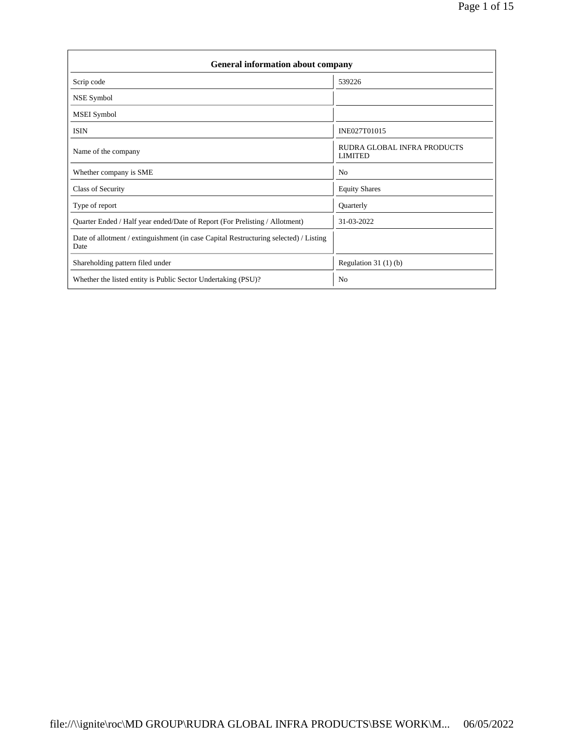| General information about company                                                             |                                               |  |  |  |  |  |  |
|-----------------------------------------------------------------------------------------------|-----------------------------------------------|--|--|--|--|--|--|
| Scrip code                                                                                    | 539226                                        |  |  |  |  |  |  |
| NSE Symbol                                                                                    |                                               |  |  |  |  |  |  |
| <b>MSEI</b> Symbol                                                                            |                                               |  |  |  |  |  |  |
| <b>ISIN</b>                                                                                   | INE027T01015                                  |  |  |  |  |  |  |
| Name of the company                                                                           | RUDRA GLOBAL INFRA PRODUCTS<br><b>LIMITED</b> |  |  |  |  |  |  |
| Whether company is SME                                                                        | N <sub>0</sub>                                |  |  |  |  |  |  |
| Class of Security                                                                             | <b>Equity Shares</b>                          |  |  |  |  |  |  |
| Type of report                                                                                | Quarterly                                     |  |  |  |  |  |  |
| Quarter Ended / Half year ended/Date of Report (For Prelisting / Allotment)                   | 31-03-2022                                    |  |  |  |  |  |  |
| Date of allotment / extinguishment (in case Capital Restructuring selected) / Listing<br>Date |                                               |  |  |  |  |  |  |
| Shareholding pattern filed under                                                              | Regulation $31(1)(b)$                         |  |  |  |  |  |  |
| Whether the listed entity is Public Sector Undertaking (PSU)?                                 | No                                            |  |  |  |  |  |  |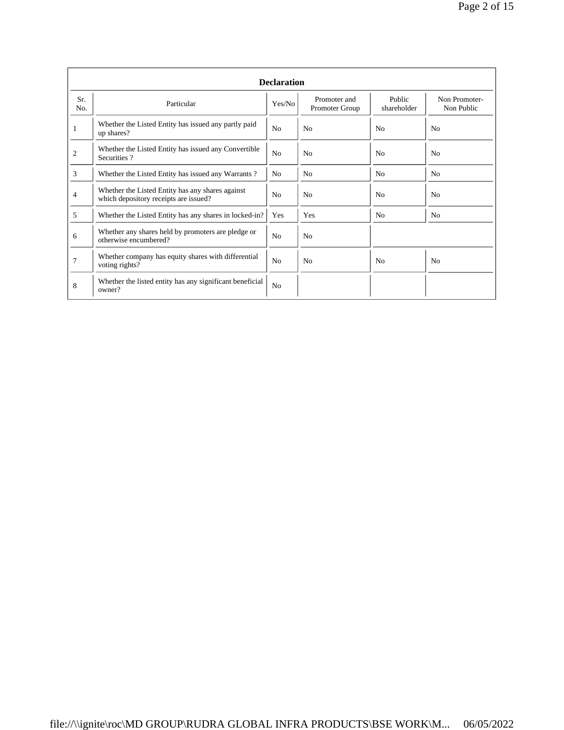|                | <b>Declaration</b>                                                                        |                |                                |                       |                             |  |  |  |  |  |
|----------------|-------------------------------------------------------------------------------------------|----------------|--------------------------------|-----------------------|-----------------------------|--|--|--|--|--|
| Sr.<br>No.     | Particular                                                                                | Yes/No         | Promoter and<br>Promoter Group | Public<br>shareholder | Non Promoter-<br>Non Public |  |  |  |  |  |
|                | Whether the Listed Entity has issued any partly paid<br>up shares?                        | N <sub>0</sub> | N <sub>0</sub>                 | N <sub>0</sub>        | N <sub>0</sub>              |  |  |  |  |  |
| $\overline{2}$ | Whether the Listed Entity has issued any Convertible<br>Securities?                       | N <sub>o</sub> | N <sub>0</sub>                 | N <sub>0</sub>        | N <sub>0</sub>              |  |  |  |  |  |
| 3              | Whether the Listed Entity has issued any Warrants?                                        | N <sub>0</sub> | N <sub>0</sub>                 | N <sub>0</sub>        | N <sub>o</sub>              |  |  |  |  |  |
| $\overline{4}$ | Whether the Listed Entity has any shares against<br>which depository receipts are issued? | N <sub>0</sub> | N <sub>0</sub>                 | N <sub>0</sub>        | N <sub>0</sub>              |  |  |  |  |  |
| 5              | Whether the Listed Entity has any shares in locked-in?                                    | Yes            | Yes                            | No                    | No                          |  |  |  |  |  |
| 6              | Whether any shares held by promoters are pledge or<br>otherwise encumbered?               | N <sub>0</sub> | N <sub>0</sub>                 |                       |                             |  |  |  |  |  |
| 7              | Whether company has equity shares with differential<br>voting rights?                     | N <sub>o</sub> | N <sub>0</sub>                 | No                    | N <sub>0</sub>              |  |  |  |  |  |
| 8              | Whether the listed entity has any significant beneficial<br>owner?                        | N <sub>0</sub> |                                |                       |                             |  |  |  |  |  |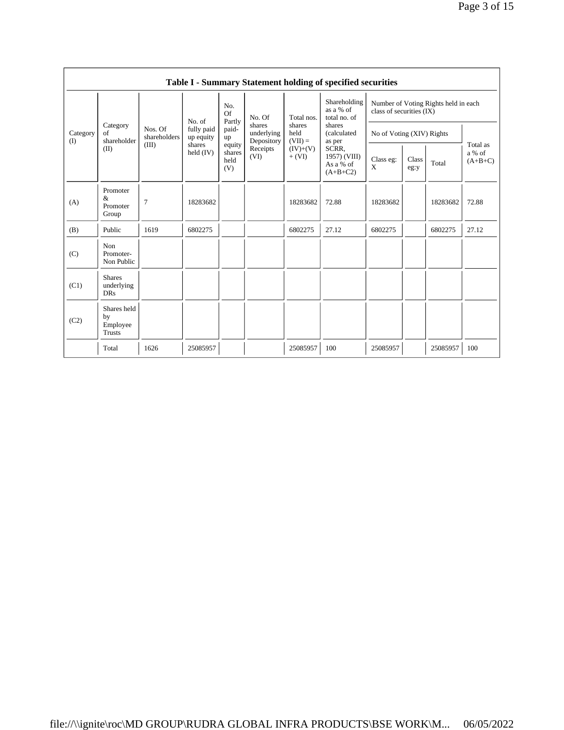|                   | Table I - Summary Statement holding of specified securities |                                  |                                                            |                                 |                                                        |                                                       |                                                                                                                                  |                                                                  |               |          |                                 |
|-------------------|-------------------------------------------------------------|----------------------------------|------------------------------------------------------------|---------------------------------|--------------------------------------------------------|-------------------------------------------------------|----------------------------------------------------------------------------------------------------------------------------------|------------------------------------------------------------------|---------------|----------|---------------------------------|
| Category<br>$($ I |                                                             | Nos. Of<br>shareholders<br>(III) | No. of<br>fully paid<br>up equity<br>shares<br>held $(IV)$ | No.<br><b>Of</b><br>Partly      | No. Of                                                 | Total nos.                                            | Shareholding<br>as a % of<br>total no. of<br>shares<br>(calculated<br>as per<br>SCRR,<br>1957) (VIII)<br>As a % of<br>$(A+B+C2)$ | Number of Voting Rights held in each<br>class of securities (IX) |               |          |                                 |
|                   | Category<br>of<br>shareholder                               |                                  |                                                            | paid-<br>up                     | shares<br>underlying<br>Depository<br>Receipts<br>(VI) | shares<br>held<br>$(VII) =$<br>$(IV)+(V)$<br>$+ (VI)$ |                                                                                                                                  | No of Voting (XIV) Rights                                        |               |          |                                 |
|                   | (II)                                                        |                                  |                                                            | equity<br>shares<br>held<br>(V) |                                                        |                                                       |                                                                                                                                  | Class eg:<br>X                                                   | Class<br>eg:y | Total    | Total as<br>a % of<br>$(A+B+C)$ |
| (A)               | Promoter<br>&<br>Promoter<br>Group                          | $\overline{7}$                   | 18283682                                                   |                                 |                                                        | 18283682                                              | 72.88                                                                                                                            | 18283682                                                         |               | 18283682 | 72.88                           |
| (B)               | Public                                                      | 1619                             | 6802275                                                    |                                 |                                                        | 6802275                                               | 27.12                                                                                                                            | 6802275                                                          |               | 6802275  | 27.12                           |
| (C)               | Non<br>Promoter-<br>Non Public                              |                                  |                                                            |                                 |                                                        |                                                       |                                                                                                                                  |                                                                  |               |          |                                 |
| (C1)              | <b>Shares</b><br>underlying<br><b>DRs</b>                   |                                  |                                                            |                                 |                                                        |                                                       |                                                                                                                                  |                                                                  |               |          |                                 |
| (C2)              | Shares held<br>by<br>Employee<br><b>Trusts</b>              |                                  |                                                            |                                 |                                                        |                                                       |                                                                                                                                  |                                                                  |               |          |                                 |
|                   | Total                                                       | 1626                             | 25085957                                                   |                                 |                                                        | 25085957                                              | 100                                                                                                                              | 25085957                                                         |               | 25085957 | 100                             |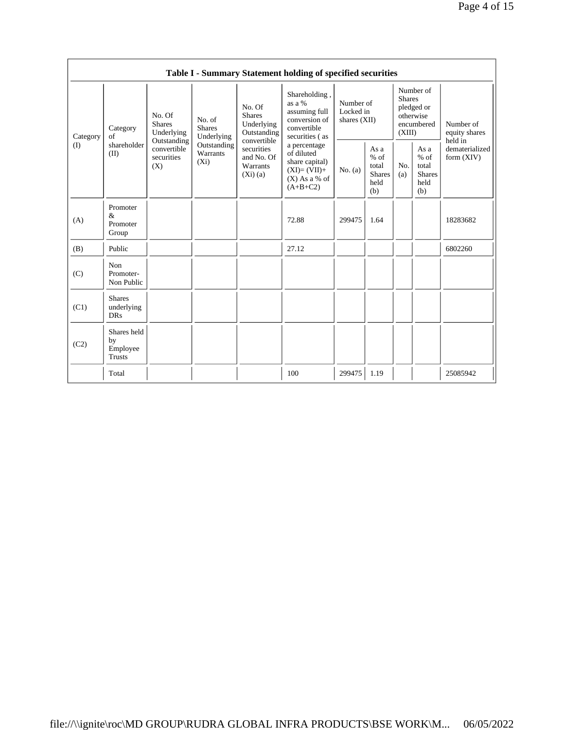|                 | Table I - Summary Statement holding of specified securities |                                                                                                                                                                         |                                                                   |                                                                                                |                                                                                            |                                                         |            |                                                                               |                                           |                            |
|-----------------|-------------------------------------------------------------|-------------------------------------------------------------------------------------------------------------------------------------------------------------------------|-------------------------------------------------------------------|------------------------------------------------------------------------------------------------|--------------------------------------------------------------------------------------------|---------------------------------------------------------|------------|-------------------------------------------------------------------------------|-------------------------------------------|----------------------------|
| Category<br>(I) | Category<br>of<br>shareholder<br>(II)                       | No. Of<br>No. of<br><b>Shares</b><br><b>Shares</b><br>Underlying<br>Underlying<br>Outstanding<br>Outstanding<br>convertible<br>Warrants<br>securities<br>$(X_i)$<br>(X) |                                                                   | No. Of<br><b>Shares</b><br>Underlying<br>Outstanding                                           | Shareholding,<br>as a %<br>assuming full<br>conversion of<br>convertible<br>securities (as | Number of<br>Locked in<br>shares $(XII)$                |            | Number of<br><b>Shares</b><br>pledged or<br>otherwise<br>encumbered<br>(XIII) |                                           | Number of<br>equity shares |
|                 |                                                             |                                                                                                                                                                         | convertible<br>securities<br>and No. Of<br>Warrants<br>$(Xi)$ (a) | a percentage<br>of diluted<br>share capital)<br>$(XI)=(VII)+$<br>$(X)$ As a % of<br>$(A+B+C2)$ | No. $(a)$                                                                                  | As a<br>$%$ of<br>total<br><b>Shares</b><br>held<br>(b) | No.<br>(a) | As a<br>$%$ of<br>total<br><b>Shares</b><br>held<br>(b)                       | held in<br>dematerialized<br>form $(XIV)$ |                            |
| (A)             | Promoter<br>$\&$<br>Promoter<br>Group                       |                                                                                                                                                                         |                                                                   |                                                                                                | 72.88                                                                                      | 299475                                                  | 1.64       |                                                                               |                                           | 18283682                   |
| (B)             | Public                                                      |                                                                                                                                                                         |                                                                   |                                                                                                | 27.12                                                                                      |                                                         |            |                                                                               |                                           | 6802260                    |
| (C)             | Non<br>Promoter-<br>Non Public                              |                                                                                                                                                                         |                                                                   |                                                                                                |                                                                                            |                                                         |            |                                                                               |                                           |                            |
| (C1)            | <b>Shares</b><br>underlying<br><b>DRs</b>                   |                                                                                                                                                                         |                                                                   |                                                                                                |                                                                                            |                                                         |            |                                                                               |                                           |                            |
| (C2)            | Shares held<br>by<br>Employee<br>Trusts                     |                                                                                                                                                                         |                                                                   |                                                                                                |                                                                                            |                                                         |            |                                                                               |                                           |                            |
|                 | Total                                                       |                                                                                                                                                                         |                                                                   |                                                                                                | 100                                                                                        | 299475                                                  | 1.19       |                                                                               |                                           | 25085942                   |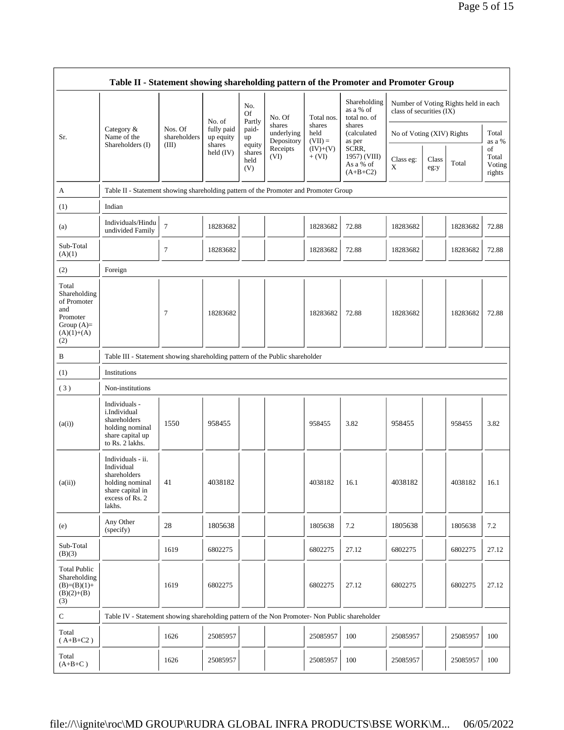|                                                                                                | Table II - Statement showing shareholding pattern of the Promoter and Promoter Group                                |                                                                                      |                                                  |                                 |                                    |                             |                                                                                     |                           |               |                                      |                                 |
|------------------------------------------------------------------------------------------------|---------------------------------------------------------------------------------------------------------------------|--------------------------------------------------------------------------------------|--------------------------------------------------|---------------------------------|------------------------------------|-----------------------------|-------------------------------------------------------------------------------------|---------------------------|---------------|--------------------------------------|---------------------------------|
|                                                                                                |                                                                                                                     |                                                                                      | No. of                                           | No.<br>Of<br>Partly             | No. Of                             | Total nos.                  | Shareholding<br>as a % of<br>total no. of                                           | class of securities (IX)  |               | Number of Voting Rights held in each |                                 |
| Sr.                                                                                            | Category &<br>Name of the<br>Shareholders (I)                                                                       | Nos. Of<br>shareholders<br>(III)                                                     | fully paid<br>up equity<br>shares<br>held $(IV)$ | paid-<br>up                     | shares<br>underlying<br>Depository | shares<br>held<br>$(VII) =$ | shares<br>(calculated<br>as per<br>SCRR,<br>1957) (VIII)<br>As a % of<br>$(A+B+C2)$ | No of Voting (XIV) Rights |               |                                      | Total<br>as a %                 |
|                                                                                                |                                                                                                                     |                                                                                      |                                                  | equity<br>shares<br>held<br>(V) | Receipts<br>(VI)                   | $(IV)+(V)$<br>$+ (VI)$      |                                                                                     | Class eg:<br>X            | Class<br>eg:y | Total                                | of<br>Total<br>Voting<br>rights |
| A                                                                                              |                                                                                                                     | Table II - Statement showing shareholding pattern of the Promoter and Promoter Group |                                                  |                                 |                                    |                             |                                                                                     |                           |               |                                      |                                 |
| (1)                                                                                            | Indian                                                                                                              |                                                                                      |                                                  |                                 |                                    |                             |                                                                                     |                           |               |                                      |                                 |
| (a)                                                                                            | Individuals/Hindu<br>undivided Family                                                                               | $\tau$                                                                               | 18283682                                         |                                 |                                    | 18283682                    | 72.88                                                                               | 18283682                  |               | 18283682                             | 72.88                           |
| Sub-Total<br>(A)(1)                                                                            |                                                                                                                     | 7                                                                                    | 18283682                                         |                                 |                                    | 18283682                    | 72.88                                                                               | 18283682                  |               | 18283682                             | 72.88                           |
| (2)                                                                                            | Foreign                                                                                                             |                                                                                      |                                                  |                                 |                                    |                             |                                                                                     |                           |               |                                      |                                 |
| Total<br>Shareholding<br>of Promoter<br>and<br>Promoter<br>Group $(A)=$<br>$(A)(1)+(A)$<br>(2) |                                                                                                                     | 7                                                                                    | 18283682                                         |                                 |                                    | 18283682                    | 72.88                                                                               | 18283682                  |               | 18283682                             | 72.88                           |
| B                                                                                              | Table III - Statement showing shareholding pattern of the Public shareholder                                        |                                                                                      |                                                  |                                 |                                    |                             |                                                                                     |                           |               |                                      |                                 |
| (1)                                                                                            | Institutions                                                                                                        |                                                                                      |                                                  |                                 |                                    |                             |                                                                                     |                           |               |                                      |                                 |
| (3)                                                                                            | Non-institutions                                                                                                    |                                                                                      |                                                  |                                 |                                    |                             |                                                                                     |                           |               |                                      |                                 |
| (a(i))                                                                                         | Individuals -<br>i.Individual<br>shareholders<br>holding nominal<br>share capital up<br>to Rs. 2 lakhs.             | 1550                                                                                 | 958455                                           |                                 |                                    | 958455                      | 3.82                                                                                | 958455                    |               | 958455                               | 3.82                            |
| (a(ii))                                                                                        | Individuals - ii.<br>Individual<br>shareholders<br>holding nominal<br>share capital in<br>excess of Rs. 2<br>lakhs. | 41                                                                                   | 4038182                                          |                                 |                                    | 4038182                     | 16.1                                                                                | 4038182                   |               | 4038182                              | 16.1                            |
| (e)                                                                                            | Any Other<br>(specify)                                                                                              | 28                                                                                   | 1805638                                          |                                 |                                    | 1805638                     | 7.2                                                                                 | 1805638                   |               | 1805638                              | 7.2                             |
| Sub-Total<br>(B)(3)                                                                            |                                                                                                                     | 1619                                                                                 | 6802275                                          |                                 |                                    | 6802275                     | 27.12                                                                               | 6802275                   |               | 6802275                              | 27.12                           |
| <b>Total Public</b><br>Shareholding<br>$(B)=(B)(1)+$<br>$(B)(2)+(B)$<br>(3)                    |                                                                                                                     | 1619                                                                                 | 6802275                                          |                                 |                                    | 6802275                     | 27.12                                                                               | 6802275                   |               | 6802275                              | 27.12                           |
| $\mathbf C$                                                                                    | Table IV - Statement showing shareholding pattern of the Non Promoter- Non Public shareholder                       |                                                                                      |                                                  |                                 |                                    |                             |                                                                                     |                           |               |                                      |                                 |
| Total<br>$(A+B+C2)$                                                                            |                                                                                                                     | 1626                                                                                 | 25085957                                         |                                 |                                    | 25085957                    | 100                                                                                 | 25085957                  |               | 25085957                             | 100                             |
| Total<br>$(A+B+C)$                                                                             |                                                                                                                     | 1626                                                                                 | 25085957                                         |                                 |                                    | 25085957                    | 100                                                                                 | 25085957                  |               | 25085957                             | 100                             |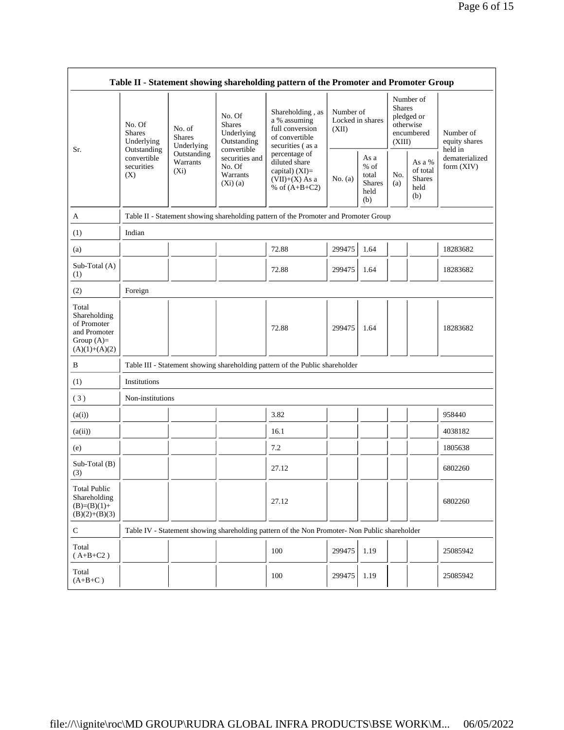| Table II - Statement showing shareholding pattern of the Promoter and Promoter Group    |                                                                                                                                            |             |                                                                     |                                                                                                                                                                                      |                                        |                                                         |                                                                               |                                                    |                                       |
|-----------------------------------------------------------------------------------------|--------------------------------------------------------------------------------------------------------------------------------------------|-------------|---------------------------------------------------------------------|--------------------------------------------------------------------------------------------------------------------------------------------------------------------------------------|----------------------------------------|---------------------------------------------------------|-------------------------------------------------------------------------------|----------------------------------------------------|---------------------------------------|
| Sr.                                                                                     | No. Of<br>No. of<br><b>Shares</b><br><b>Shares</b><br>Underlying<br>Outstanding<br>convertible<br>Warrants<br>securities<br>$(X_i)$<br>(X) | Underlying  | No. Of<br><b>Shares</b><br>Underlying<br>Outstanding<br>convertible | Shareholding, as<br>a % assuming<br>full conversion<br>of convertible<br>securities (as a<br>percentage of<br>diluted share<br>capital) (XI)=<br>$(VII)+(X)$ As a<br>% of $(A+B+C2)$ | Number of<br>Locked in shares<br>(XII) |                                                         | Number of<br><b>Shares</b><br>pledged or<br>otherwise<br>encumbered<br>(XIII) |                                                    | Number of<br>equity shares<br>held in |
|                                                                                         |                                                                                                                                            | Outstanding | securities and<br>No. Of<br>Warrants<br>$(Xi)$ (a)                  |                                                                                                                                                                                      | No. (a)                                | As a<br>$%$ of<br>total<br><b>Shares</b><br>held<br>(b) | No.<br>(a)                                                                    | As a %<br>of total<br><b>Shares</b><br>held<br>(b) | dematerialized<br>form $(XIV)$        |
| A                                                                                       |                                                                                                                                            |             |                                                                     | Table II - Statement showing shareholding pattern of the Promoter and Promoter Group                                                                                                 |                                        |                                                         |                                                                               |                                                    |                                       |
| (1)                                                                                     | Indian                                                                                                                                     |             |                                                                     |                                                                                                                                                                                      |                                        |                                                         |                                                                               |                                                    |                                       |
| (a)                                                                                     |                                                                                                                                            |             |                                                                     | 72.88                                                                                                                                                                                | 299475                                 | 1.64                                                    |                                                                               |                                                    | 18283682                              |
| Sub-Total (A)<br>(1)                                                                    |                                                                                                                                            |             |                                                                     | 72.88                                                                                                                                                                                | 299475                                 | 1.64                                                    |                                                                               |                                                    | 18283682                              |
| (2)                                                                                     | Foreign                                                                                                                                    |             |                                                                     |                                                                                                                                                                                      |                                        |                                                         |                                                                               |                                                    |                                       |
| Total<br>Shareholding<br>of Promoter<br>and Promoter<br>Group $(A)=$<br>$(A)(1)+(A)(2)$ |                                                                                                                                            |             |                                                                     | 72.88                                                                                                                                                                                | 299475                                 | 1.64                                                    |                                                                               |                                                    | 18283682                              |
| B                                                                                       |                                                                                                                                            |             |                                                                     | Table III - Statement showing shareholding pattern of the Public shareholder                                                                                                         |                                        |                                                         |                                                                               |                                                    |                                       |
| (1)                                                                                     | Institutions                                                                                                                               |             |                                                                     |                                                                                                                                                                                      |                                        |                                                         |                                                                               |                                                    |                                       |
| (3)                                                                                     | Non-institutions                                                                                                                           |             |                                                                     |                                                                                                                                                                                      |                                        |                                                         |                                                                               |                                                    |                                       |
| (a(i))                                                                                  |                                                                                                                                            |             |                                                                     | 3.82                                                                                                                                                                                 |                                        |                                                         |                                                                               |                                                    | 958440                                |
| (a(ii))                                                                                 |                                                                                                                                            |             |                                                                     | 16.1                                                                                                                                                                                 |                                        |                                                         |                                                                               |                                                    | 4038182                               |
| (e)                                                                                     |                                                                                                                                            |             |                                                                     | 7.2                                                                                                                                                                                  |                                        |                                                         |                                                                               |                                                    | 1805638                               |
| Sub-Total (B)<br>(3)                                                                    |                                                                                                                                            |             |                                                                     | 27.12                                                                                                                                                                                |                                        |                                                         |                                                                               |                                                    | 6802260                               |
| <b>Total Public</b><br>Shareholding<br>$(B)=(B)(1)+$<br>$(B)(2)+(B)(3)$                 |                                                                                                                                            |             |                                                                     | 27.12                                                                                                                                                                                |                                        |                                                         |                                                                               |                                                    | 6802260                               |
| C                                                                                       |                                                                                                                                            |             |                                                                     | Table IV - Statement showing shareholding pattern of the Non Promoter- Non Public shareholder                                                                                        |                                        |                                                         |                                                                               |                                                    |                                       |
| Total<br>$(A+B+C2)$                                                                     |                                                                                                                                            |             |                                                                     | 100                                                                                                                                                                                  | 299475                                 | 1.19                                                    |                                                                               |                                                    | 25085942                              |
| Total<br>$(A+B+C)$                                                                      |                                                                                                                                            |             |                                                                     | 100                                                                                                                                                                                  | 299475                                 | 1.19                                                    |                                                                               |                                                    | 25085942                              |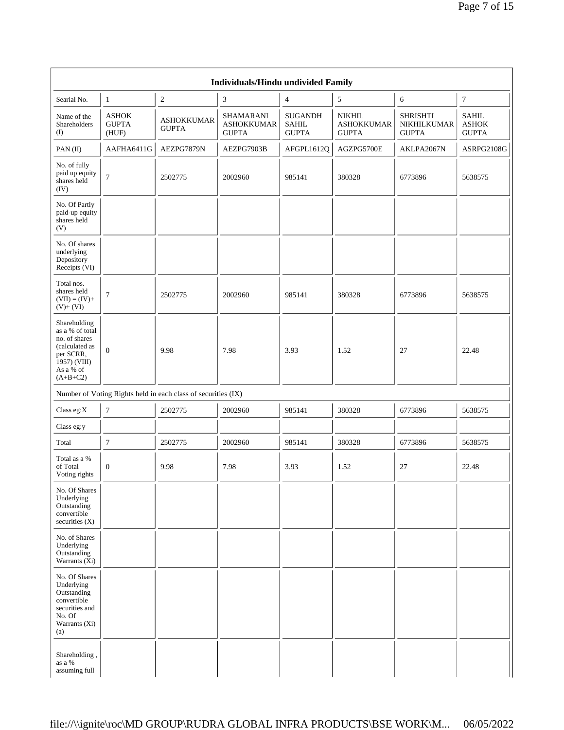|                                                                                                                            | Individuals/Hindu undivided Family    |                                                               |                                                       |                                                |                                                    |                                                |                                              |  |  |  |
|----------------------------------------------------------------------------------------------------------------------------|---------------------------------------|---------------------------------------------------------------|-------------------------------------------------------|------------------------------------------------|----------------------------------------------------|------------------------------------------------|----------------------------------------------|--|--|--|
| Searial No.                                                                                                                | 1                                     | $\overline{c}$                                                | $\mathfrak{Z}$                                        | $\overline{4}$                                 | 5                                                  | 6                                              | $\tau$                                       |  |  |  |
| Name of the<br>Shareholders<br>$\textcircled{1}$                                                                           | <b>ASHOK</b><br><b>GUPTA</b><br>(HUF) | <b>ASHOKKUMAR</b><br><b>GUPTA</b>                             | <b>SHAMARANI</b><br><b>ASHOKKUMAR</b><br><b>GUPTA</b> | <b>SUGANDH</b><br><b>SAHIL</b><br><b>GUPTA</b> | <b>NIKHIL</b><br><b>ASHOKKUMAR</b><br><b>GUPTA</b> | <b>SHRISHTI</b><br>NIKHILKUMAR<br><b>GUPTA</b> | <b>SAHIL</b><br><b>ASHOK</b><br><b>GUPTA</b> |  |  |  |
| PAN $(II)$                                                                                                                 | AAFHA6411G                            | AEZPG7879N                                                    | AEZPG7903B                                            | AFGPL1612Q                                     | AGZPG5700E                                         | AKLPA2067N                                     | ASRPG2108G                                   |  |  |  |
| No. of fully<br>paid up equity<br>shares held<br>(IV)                                                                      | $\overline{7}$                        | 2502775                                                       | 2002960                                               | 985141                                         | 380328                                             | 6773896                                        | 5638575                                      |  |  |  |
| No. Of Partly<br>paid-up equity<br>shares held<br>(V)                                                                      |                                       |                                                               |                                                       |                                                |                                                    |                                                |                                              |  |  |  |
| No. Of shares<br>underlying<br>Depository<br>Receipts (VI)                                                                 |                                       |                                                               |                                                       |                                                |                                                    |                                                |                                              |  |  |  |
| Total nos.<br>shares held<br>$(VII) = (IV) +$<br>$(V)+(VI)$                                                                | $\overline{7}$                        | 2502775                                                       | 2002960                                               | 985141                                         | 380328                                             | 6773896                                        | 5638575                                      |  |  |  |
| Shareholding<br>as a % of total<br>no. of shares<br>(calculated as<br>per SCRR,<br>1957) (VIII)<br>As a % of<br>$(A+B+C2)$ | $\overline{0}$                        | 9.98                                                          | 7.98                                                  | 3.93                                           | 1.52                                               | 27                                             | 22.48                                        |  |  |  |
|                                                                                                                            |                                       | Number of Voting Rights held in each class of securities (IX) |                                                       |                                                |                                                    |                                                |                                              |  |  |  |
| Class eg: $X$                                                                                                              | $\overline{7}$                        | 2502775                                                       | 2002960                                               | 985141                                         | 380328                                             | 6773896                                        | 5638575                                      |  |  |  |
| Class eg:y                                                                                                                 |                                       |                                                               |                                                       |                                                |                                                    |                                                |                                              |  |  |  |
| Total                                                                                                                      | $\tau$                                | 2502775                                                       | 2002960                                               | 985141                                         | 380328                                             | 6773896                                        | 5638575                                      |  |  |  |
| Total as a %<br>of Total<br>Voting rights                                                                                  | $\mathbf{0}$                          | 9.98                                                          | 7.98                                                  | 3.93                                           | 1.52                                               | 27                                             | 22.48                                        |  |  |  |
| No. Of Shares<br>Underlying<br>Outstanding<br>convertible<br>securities $(X)$                                              |                                       |                                                               |                                                       |                                                |                                                    |                                                |                                              |  |  |  |
| No. of Shares<br>Underlying<br>Outstanding<br>Warrants (Xi)                                                                |                                       |                                                               |                                                       |                                                |                                                    |                                                |                                              |  |  |  |
| No. Of Shares<br>Underlying<br>Outstanding<br>convertible<br>securities and<br>No. Of<br>Warrants (Xi)<br>(a)              |                                       |                                                               |                                                       |                                                |                                                    |                                                |                                              |  |  |  |
| Shareholding,<br>as a %<br>assuming full                                                                                   |                                       |                                                               |                                                       |                                                |                                                    |                                                |                                              |  |  |  |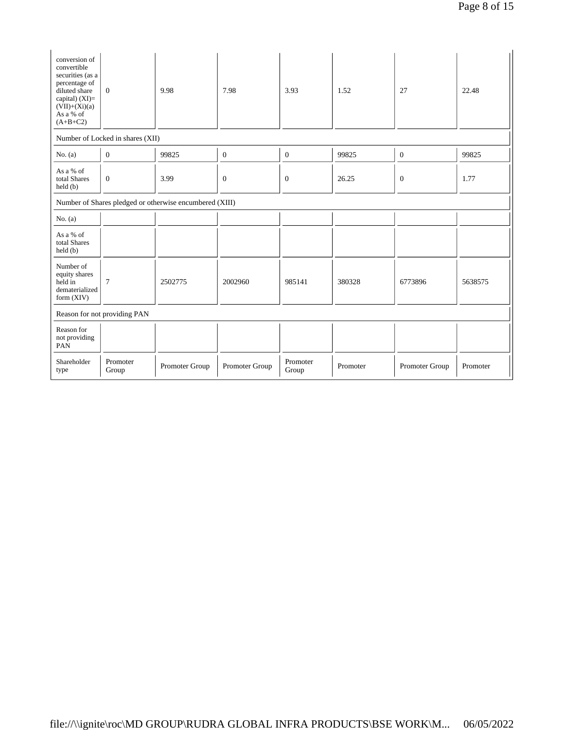| conversion of<br>convertible<br>securities (as a<br>percentage of<br>diluted share<br>capital) $(XI)=$<br>$(VII)+(Xi)(a)$<br>As a % of<br>$(A+B+C2)$ | $\overline{0}$                                          | 9.98           | 7.98             | 3.93              | 1.52     | 27               | 22.48    |  |  |
|------------------------------------------------------------------------------------------------------------------------------------------------------|---------------------------------------------------------|----------------|------------------|-------------------|----------|------------------|----------|--|--|
|                                                                                                                                                      | Number of Locked in shares (XII)                        |                |                  |                   |          |                  |          |  |  |
| No. (a)                                                                                                                                              | $\mathbf{0}$                                            | 99825          | $\boldsymbol{0}$ | $\mathbf{0}$      | 99825    | $\mathbf{0}$     | 99825    |  |  |
| As a % of<br>total Shares<br>held(b)                                                                                                                 | $\overline{0}$                                          | 3.99           | $\mathbf{0}$     | $\mathbf{0}$      | 26.25    | $\boldsymbol{0}$ | 1.77     |  |  |
|                                                                                                                                                      | Number of Shares pledged or otherwise encumbered (XIII) |                |                  |                   |          |                  |          |  |  |
| No. $(a)$                                                                                                                                            |                                                         |                |                  |                   |          |                  |          |  |  |
| As a % of<br>total Shares<br>held(b)                                                                                                                 |                                                         |                |                  |                   |          |                  |          |  |  |
| Number of<br>equity shares<br>held in<br>dematerialized<br>form $(XIV)$                                                                              | $\tau$                                                  | 2502775        | 2002960          | 985141            | 380328   | 6773896          | 5638575  |  |  |
|                                                                                                                                                      | Reason for not providing PAN                            |                |                  |                   |          |                  |          |  |  |
| Reason for<br>not providing<br>PAN                                                                                                                   |                                                         |                |                  |                   |          |                  |          |  |  |
| Shareholder<br>type                                                                                                                                  | Promoter<br>Group                                       | Promoter Group | Promoter Group   | Promoter<br>Group | Promoter | Promoter Group   | Promoter |  |  |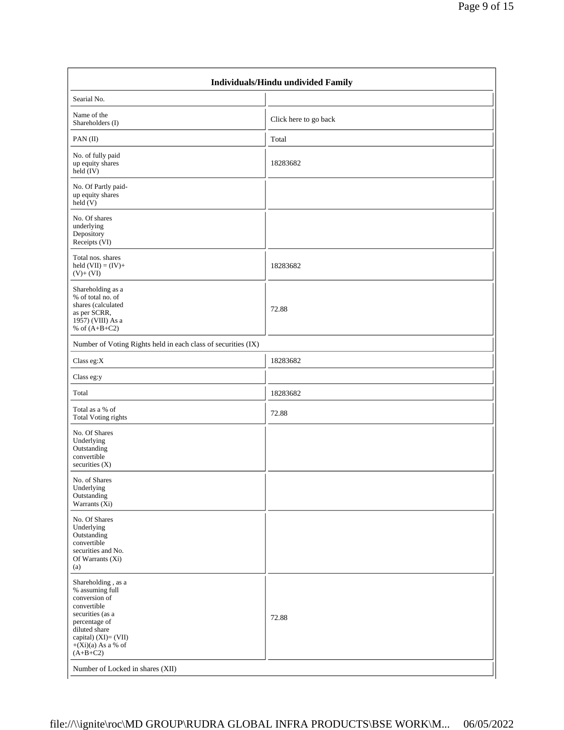| Individuals/Hindu undivided Family                                                                                                                                                        |                       |  |  |  |  |  |  |
|-------------------------------------------------------------------------------------------------------------------------------------------------------------------------------------------|-----------------------|--|--|--|--|--|--|
| Searial No.                                                                                                                                                                               |                       |  |  |  |  |  |  |
| Name of the<br>Shareholders (I)                                                                                                                                                           | Click here to go back |  |  |  |  |  |  |
| PAN $(II)$                                                                                                                                                                                | Total                 |  |  |  |  |  |  |
| No. of fully paid<br>up equity shares<br>$held$ (IV)                                                                                                                                      | 18283682              |  |  |  |  |  |  |
| No. Of Partly paid-<br>up equity shares<br>held (V)                                                                                                                                       |                       |  |  |  |  |  |  |
| No. Of shares<br>underlying<br>Depository<br>Receipts (VI)                                                                                                                                |                       |  |  |  |  |  |  |
| Total nos. shares<br>held $(VII) = (IV) +$<br>$(V)+(VI)$                                                                                                                                  | 18283682              |  |  |  |  |  |  |
| Shareholding as a<br>% of total no. of<br>shares (calculated<br>as per SCRR,<br>1957) (VIII) As a<br>% of $(A+B+C2)$                                                                      | 72.88                 |  |  |  |  |  |  |
| Number of Voting Rights held in each class of securities (IX)                                                                                                                             |                       |  |  |  |  |  |  |
| Class eg: $X$                                                                                                                                                                             | 18283682              |  |  |  |  |  |  |
| Class eg:y                                                                                                                                                                                |                       |  |  |  |  |  |  |
| Total                                                                                                                                                                                     | 18283682              |  |  |  |  |  |  |
| Total as a % of<br><b>Total Voting rights</b>                                                                                                                                             | 72.88                 |  |  |  |  |  |  |
| No. Of Shares<br>Underlying<br>Outstanding<br>convertible<br>securities (X)                                                                                                               |                       |  |  |  |  |  |  |
| No. of Shares<br>Underlying<br>Outstanding<br>Warrants $(X_i)$                                                                                                                            |                       |  |  |  |  |  |  |
| No. Of Shares<br>Underlying<br>Outstanding<br>convertible<br>securities and No.<br>Of Warrants (Xi)<br>(a)                                                                                |                       |  |  |  |  |  |  |
| Shareholding, as a<br>% assuming full<br>conversion of<br>convertible<br>securities (as a<br>percentage of<br>diluted share<br>capital) (XI)= (VII)<br>$+(Xi)(a)$ As a % of<br>$(A+B+C2)$ | 72.88                 |  |  |  |  |  |  |
| Number of Locked in shares (XII)                                                                                                                                                          |                       |  |  |  |  |  |  |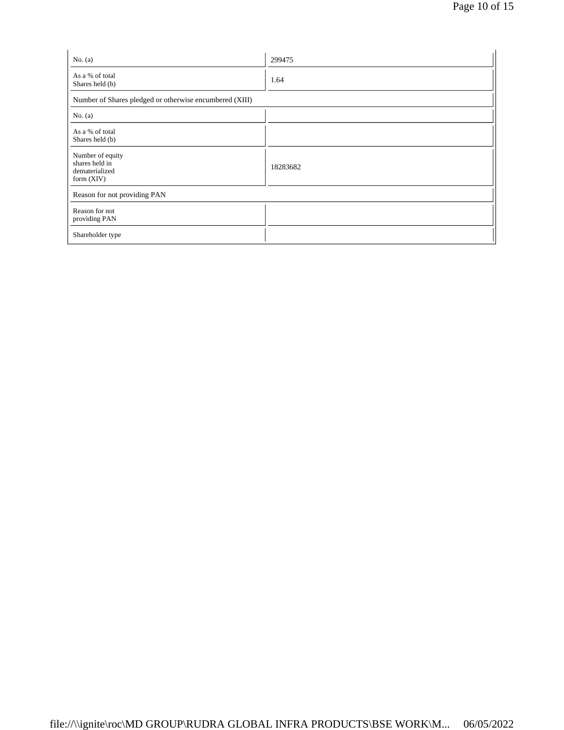| No. $(a)$                                                            | 299475   |  |  |  |  |  |
|----------------------------------------------------------------------|----------|--|--|--|--|--|
| As a % of total<br>Shares held (b)                                   | 1.64     |  |  |  |  |  |
| Number of Shares pledged or otherwise encumbered (XIII)              |          |  |  |  |  |  |
| No. $(a)$                                                            |          |  |  |  |  |  |
| As a % of total<br>Shares held (b)                                   |          |  |  |  |  |  |
| Number of equity<br>shares held in<br>dematerialized<br>form $(XIV)$ | 18283682 |  |  |  |  |  |
| Reason for not providing PAN                                         |          |  |  |  |  |  |
| Reason for not<br>providing PAN                                      |          |  |  |  |  |  |
| Shareholder type                                                     |          |  |  |  |  |  |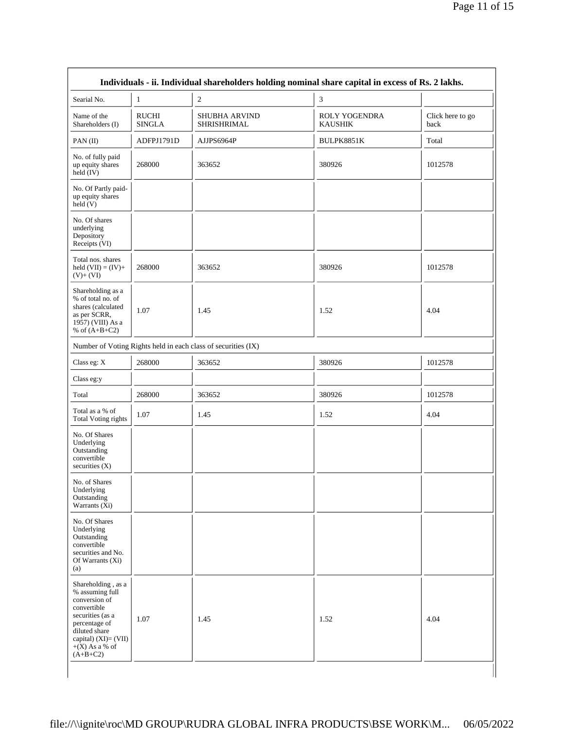| Searial No.                                                                                                                                                                           | $\mathbf{1}$                  | $\overline{c}$                                                | 3                                      |                          |
|---------------------------------------------------------------------------------------------------------------------------------------------------------------------------------------|-------------------------------|---------------------------------------------------------------|----------------------------------------|--------------------------|
| Name of the<br>Shareholders (I)                                                                                                                                                       | <b>RUCHI</b><br><b>SINGLA</b> | <b>SHUBHA ARVIND</b><br>SHRISHRIMAL                           | <b>ROLY YOGENDRA</b><br><b>KAUSHIK</b> | Click here to go<br>back |
| PAN $(II)$                                                                                                                                                                            | ADFPJ1791D                    | AJJPS6964P                                                    | BULPK8851K                             | Total                    |
| No. of fully paid<br>up equity shares<br>held $(IV)$                                                                                                                                  | 268000                        | 363652                                                        | 380926                                 | 1012578                  |
| No. Of Partly paid-<br>up equity shares<br>$\text{held} (V)$                                                                                                                          |                               |                                                               |                                        |                          |
| No. Of shares<br>underlying<br>Depository<br>Receipts (VI)                                                                                                                            |                               |                                                               |                                        |                          |
| Total nos. shares<br>held $(VII) = (IV) +$<br>$(V)+(VI)$                                                                                                                              | 268000                        | 363652                                                        | 380926                                 | 1012578                  |
| Shareholding as a<br>% of total no. of<br>shares (calculated<br>as per SCRR,<br>1957) (VIII) As a<br>% of $(A+B+C2)$                                                                  | 1.07                          | 1.45                                                          | 1.52                                   | 4.04                     |
|                                                                                                                                                                                       |                               | Number of Voting Rights held in each class of securities (IX) |                                        |                          |
| Class eg: X                                                                                                                                                                           | 268000                        | 363652                                                        | 380926                                 | 1012578                  |
| Class eg:y                                                                                                                                                                            |                               |                                                               |                                        |                          |
| Total                                                                                                                                                                                 | 268000                        | 363652                                                        | 380926                                 | 1012578                  |
| Total as a % of<br><b>Total Voting rights</b>                                                                                                                                         | 1.07                          | 1.45                                                          | 1.52                                   | 4.04                     |
| No. Of Shares<br>Underlying<br>Outstanding<br>convertible<br>securities $(X)$                                                                                                         |                               |                                                               |                                        |                          |
| No. of Shares<br>Underlying<br>Outstanding<br>Warrants $(X_i)$                                                                                                                        |                               |                                                               |                                        |                          |
| No. Of Shares<br>Underlying<br>Outstanding<br>convertible<br>securities and No.<br>Of Warrants (Xi)<br>(a)                                                                            |                               |                                                               |                                        |                          |
| Shareholding, as a<br>% assuming full<br>conversion of<br>convertible<br>securities (as a<br>percentage of<br>diluted share<br>capital) (XI)= (VII)<br>$+(X)$ As a % of<br>$(A+B+C2)$ | 1.07                          | 1.45                                                          | 1.52                                   | 4.04                     |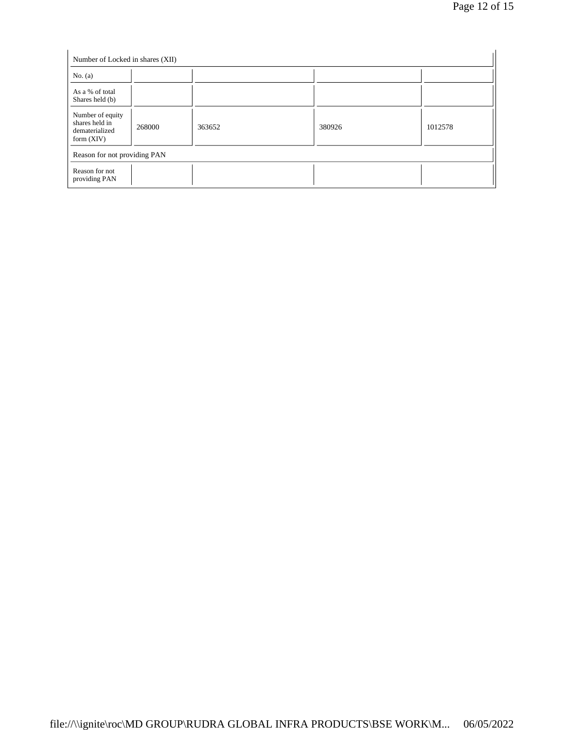| Number of Locked in shares (XII)                                     |        |        |        |         |  |  |  |  |
|----------------------------------------------------------------------|--------|--------|--------|---------|--|--|--|--|
| No. $(a)$                                                            |        |        |        |         |  |  |  |  |
| As a % of total<br>Shares held (b)                                   |        |        |        |         |  |  |  |  |
| Number of equity<br>shares held in<br>dematerialized<br>form $(XIV)$ | 268000 | 363652 | 380926 | 1012578 |  |  |  |  |
| Reason for not providing PAN                                         |        |        |        |         |  |  |  |  |
| Reason for not<br>providing PAN                                      |        |        |        |         |  |  |  |  |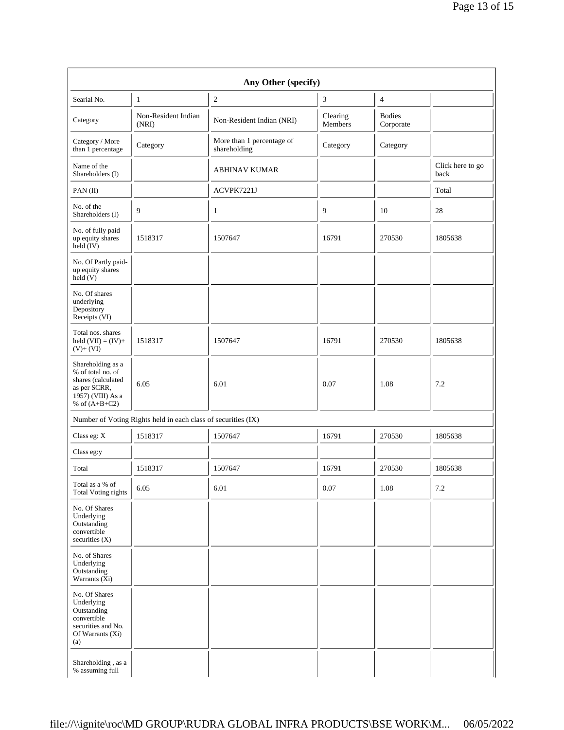| Searial No.                                                                                                          | 1                                                             | $\boldsymbol{2}$                          | 3                   | 4                          |                          |
|----------------------------------------------------------------------------------------------------------------------|---------------------------------------------------------------|-------------------------------------------|---------------------|----------------------------|--------------------------|
| Category                                                                                                             | Non-Resident Indian<br>(NRI)                                  | Non-Resident Indian (NRI)                 | Clearing<br>Members | <b>Bodies</b><br>Corporate |                          |
| Category / More<br>than 1 percentage                                                                                 | Category                                                      | More than 1 percentage of<br>shareholding | Category            | Category                   |                          |
| Name of the<br>Shareholders (I)                                                                                      |                                                               | <b>ABHINAV KUMAR</b>                      |                     |                            | Click here to go<br>back |
| PAN $(II)$                                                                                                           |                                                               | ACVPK7221J                                |                     |                            | Total                    |
| No. of the<br>Shareholders (I)                                                                                       | 9                                                             | $\mathbf{1}$                              | 9                   | 10                         | 28                       |
| No. of fully paid<br>up equity shares<br>$held$ (IV)                                                                 | 1518317                                                       | 1507647                                   | 16791               | 270530                     | 1805638                  |
| No. Of Partly paid-<br>up equity shares<br>$\text{held} (V)$                                                         |                                                               |                                           |                     |                            |                          |
| No. Of shares<br>underlying<br>Depository<br>Receipts (VI)                                                           |                                                               |                                           |                     |                            |                          |
| Total nos. shares<br>held $(VII) = (IV) +$<br>$(V)+(VI)$                                                             | 1518317                                                       | 1507647                                   | 16791               | 270530                     | 1805638                  |
| Shareholding as a<br>% of total no. of<br>shares (calculated<br>as per SCRR,<br>1957) (VIII) As a<br>% of $(A+B+C2)$ | 6.05                                                          | 6.01                                      | 0.07                | 1.08                       | 7.2                      |
|                                                                                                                      | Number of Voting Rights held in each class of securities (IX) |                                           |                     |                            |                          |
| Class eg: X                                                                                                          | 1518317                                                       | 1507647                                   | 16791               | 270530                     | 1805638                  |
| Class eg:y                                                                                                           |                                                               |                                           |                     |                            |                          |
| Total                                                                                                                | 1518317                                                       | 1507647                                   | 16791               | 270530                     | 1805638                  |
| Total as a % of<br><b>Total Voting rights</b>                                                                        | 6.05                                                          | 6.01                                      | 0.07                | 1.08                       | 7.2                      |
| No. Of Shares<br>Underlying<br>Outstanding<br>convertible<br>securities (X)                                          |                                                               |                                           |                     |                            |                          |
| No. of Shares<br>Underlying<br>Outstanding<br>Warrants $(X_i)$                                                       |                                                               |                                           |                     |                            |                          |
| No. Of Shares<br>Underlying<br>Outstanding<br>convertible<br>securities and No.<br>Of Warrants (Xi)<br>(a)           |                                                               |                                           |                     |                            |                          |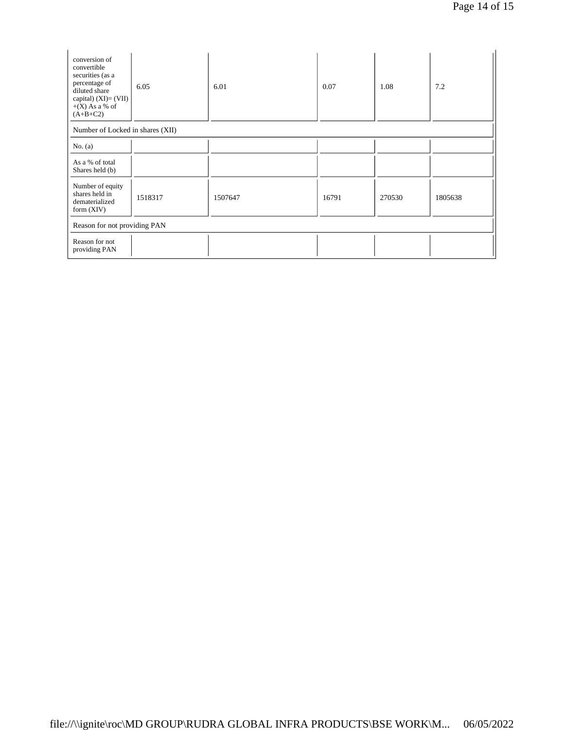| conversion of<br>convertible<br>securities (as a<br>percentage of<br>diluted share<br>capital) $(XI) = (VII)$<br>$+(X)$ As a % of<br>$(A+B+C2)$ | 6.05    | 6.01    | 0.07  | 1.08   | 7.2     |  |  |  |  |
|-------------------------------------------------------------------------------------------------------------------------------------------------|---------|---------|-------|--------|---------|--|--|--|--|
| Number of Locked in shares (XII)                                                                                                                |         |         |       |        |         |  |  |  |  |
| No. $(a)$                                                                                                                                       |         |         |       |        |         |  |  |  |  |
| As a % of total<br>Shares held (b)                                                                                                              |         |         |       |        |         |  |  |  |  |
| Number of equity<br>shares held in<br>dematerialized<br>form $(XIV)$                                                                            | 1518317 | 1507647 | 16791 | 270530 | 1805638 |  |  |  |  |
| Reason for not providing PAN                                                                                                                    |         |         |       |        |         |  |  |  |  |
| Reason for not<br>providing PAN                                                                                                                 |         |         |       |        |         |  |  |  |  |